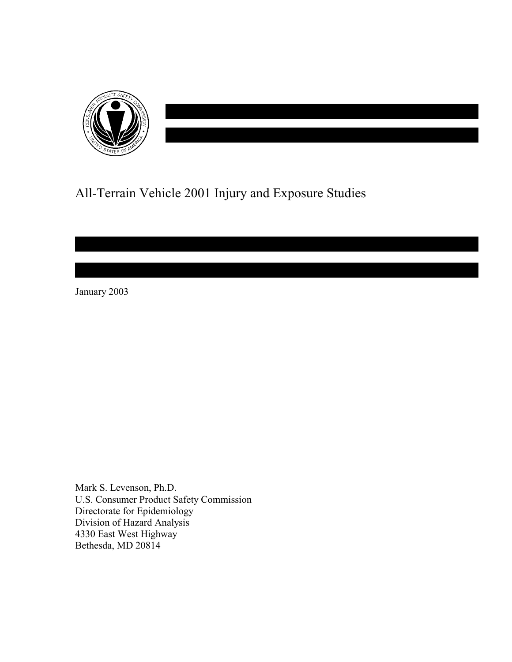

# All-Terrain Vehicle 2001 Injury and Exposure Studies

January 2003

Mark S. Levenson, Ph.D. U.S. Consumer Product Safety Commission Directorate for Epidemiology Division of Hazard Analysis 4330 East West Highway Bethesda, MD 20814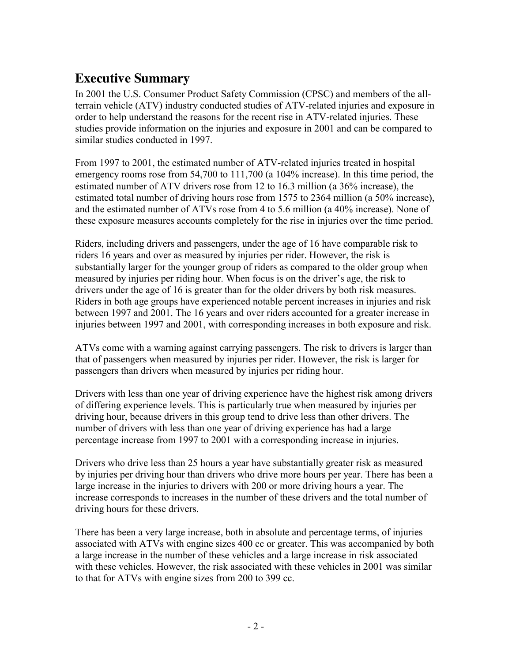## **Executive Summary**

In 2001 the U.S. Consumer Product Safety Commission (CPSC) and members of the allterrain vehicle (ATV) industry conducted studies of ATV-related injuries and exposure in order to help understand the reasons for the recent rise in ATV-related injuries. These studies provide information on the injuries and exposure in 2001 and can be compared to similar studies conducted in 1997.

From 1997 to 2001, the estimated number of ATV-related injuries treated in hospital emergency rooms rose from 54,700 to 111,700 (a 104% increase). In this time period, the estimated number of ATV drivers rose from 12 to 16.3 million (a 36% increase), the estimated total number of driving hours rose from 1575 to 2364 million (a 50% increase), and the estimated number of ATVs rose from 4 to 5.6 million (a 40% increase). None of these exposure measures accounts completely for the rise in injuries over the time period.

Riders, including drivers and passengers, under the age of 16 have comparable risk to riders 16 years and over as measured by injuries per rider. However, the risk is substantially larger for the younger group of riders as compared to the older group when measured by injuries per riding hour. When focus is on the driver's age, the risk to drivers under the age of 16 is greater than for the older drivers by both risk measures. Riders in both age groups have experienced notable percent increases in injuries and risk between 1997 and 2001. The 16 years and over riders accounted for a greater increase in injuries between 1997 and 2001, with corresponding increases in both exposure and risk.

ATVs come with a warning against carrying passengers. The risk to drivers is larger than that of passengers when measured by injuries per rider. However, the risk is larger for passengers than drivers when measured by injuries per riding hour.

Drivers with less than one year of driving experience have the highest risk among drivers of differing experience levels. This is particularly true when measured by injuries per driving hour, because drivers in this group tend to drive less than other drivers. The number of drivers with less than one year of driving experience has had a large percentage increase from 1997 to 2001 with a corresponding increase in injuries.

Drivers who drive less than 25 hours a year have substantially greater risk as measured by injuries per driving hour than drivers who drive more hours per year. There has been a large increase in the injuries to drivers with 200 or more driving hours a year. The increase corresponds to increases in the number of these drivers and the total number of driving hours for these drivers.

There has been a very large increase, both in absolute and percentage terms, of injuries associated with ATVs with engine sizes 400 cc or greater. This was accompanied by both a large increase in the number of these vehicles and a large increase in risk associated with these vehicles. However, the risk associated with these vehicles in 2001 was similar to that for ATVs with engine sizes from 200 to 399 cc.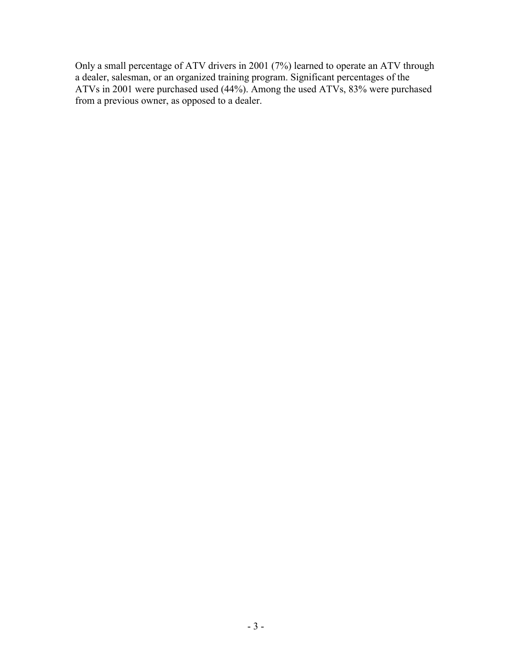Only a small percentage of ATV drivers in 2001 (7%) learned to operate an ATV through a dealer, salesman, or an organized training program. Significant percentages of the ATVs in 2001 were purchased used (44%). Among the used ATVs, 83% were purchased from a previous owner, as opposed to a dealer.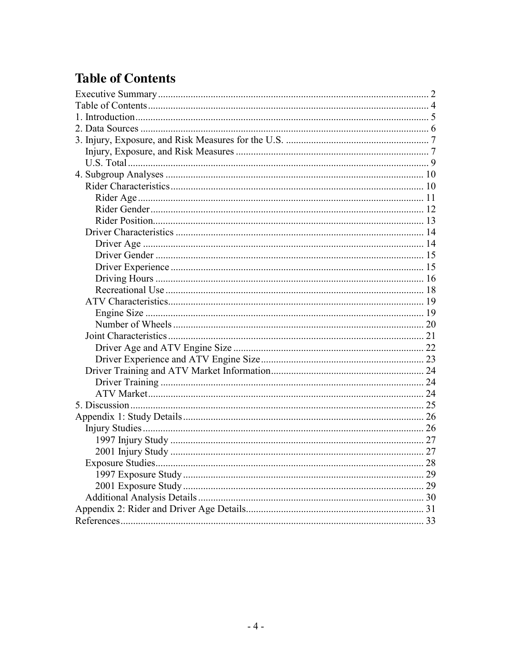# **Table of Contents**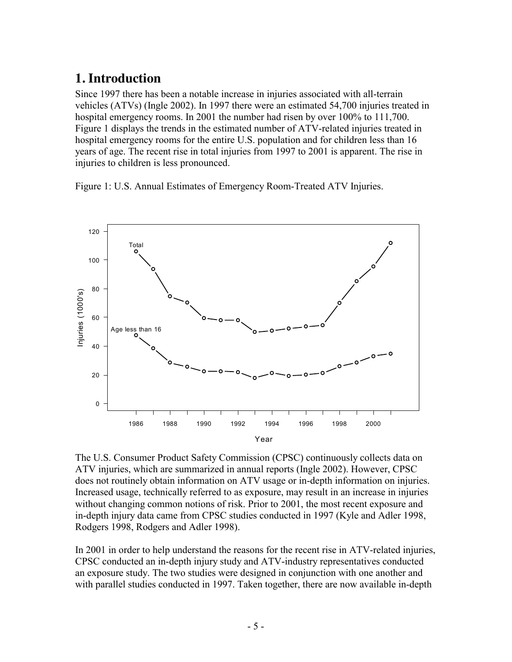## **1. Introduction**

Since 1997 there has been a notable increase in injuries associated with all-terrain vehicles (ATVs) (Ingle 2002). In 1997 there were an estimated 54,700 injuries treated in hospital emergency rooms. In 2001 the number had risen by over 100% to 111,700. Figure 1 displays the trends in the estimated number of ATV-related injuries treated in hospital emergency rooms for the entire U.S. population and for children less than 16 years of age. The recent rise in total injuries from 1997 to 2001 is apparent. The rise in injuries to children is less pronounced.

Figure 1: U.S. Annual Estimates of Emergency Room-Treated ATV Injuries.



The U.S. Consumer Product Safety Commission (CPSC) continuously collects data on ATV injuries, which are summarized in annual reports (Ingle 2002). However, CPSC does not routinely obtain information on ATV usage or in-depth information on injuries. Increased usage, technically referred to as exposure, may result in an increase in injuries without changing common notions of risk. Prior to 2001, the most recent exposure and in-depth injury data came from CPSC studies conducted in 1997 (Kyle and Adler 1998, Rodgers 1998, Rodgers and Adler 1998).

In 2001 in order to help understand the reasons for the recent rise in ATV-related injuries, CPSC conducted an in-depth injury study and ATV-industry representatives conducted an exposure study. The two studies were designed in conjunction with one another and with parallel studies conducted in 1997. Taken together, there are now available in-depth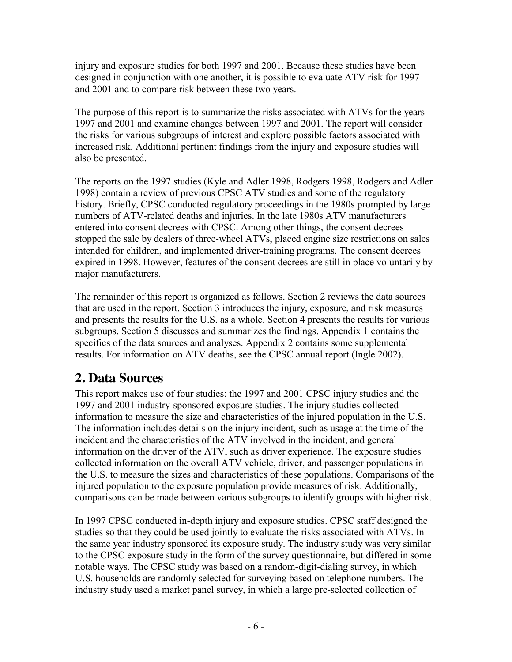injury and exposure studies for both 1997 and 2001. Because these studies have been designed in conjunction with one another, it is possible to evaluate ATV risk for 1997 and 2001 and to compare risk between these two years.

The purpose of this report is to summarize the risks associated with ATVs for the years 1997 and 2001 and examine changes between 1997 and 2001. The report will consider the risks for various subgroups of interest and explore possible factors associated with increased risk. Additional pertinent findings from the injury and exposure studies will also be presented.

The reports on the 1997 studies (Kyle and Adler 1998, Rodgers 1998, Rodgers and Adler 1998) contain a review of previous CPSC ATV studies and some of the regulatory history. Briefly, CPSC conducted regulatory proceedings in the 1980s prompted by large numbers of ATV-related deaths and injuries. In the late 1980s ATV manufacturers entered into consent decrees with CPSC. Among other things, the consent decrees stopped the sale by dealers of three-wheel ATVs, placed engine size restrictions on sales intended for children, and implemented driver-training programs. The consent decrees expired in 1998. However, features of the consent decrees are still in place voluntarily by major manufacturers.

The remainder of this report is organized as follows. Section 2 reviews the data sources that are used in the report. Section 3 introduces the injury, exposure, and risk measures and presents the results for the U.S. as a whole. Section 4 presents the results for various subgroups. Section 5 discusses and summarizes the findings. Appendix 1 contains the specifics of the data sources and analyses. Appendix 2 contains some supplemental results. For information on ATV deaths, see the CPSC annual report (Ingle 2002).

## **2. Data Sources**

This report makes use of four studies: the 1997 and 2001 CPSC injury studies and the 1997 and 2001 industry-sponsored exposure studies. The injury studies collected information to measure the size and characteristics of the injured population in the U.S. The information includes details on the injury incident, such as usage at the time of the incident and the characteristics of the ATV involved in the incident, and general information on the driver of the ATV, such as driver experience. The exposure studies collected information on the overall ATV vehicle, driver, and passenger populations in the U.S. to measure the sizes and characteristics of these populations. Comparisons of the injured population to the exposure population provide measures of risk. Additionally, comparisons can be made between various subgroups to identify groups with higher risk.

In 1997 CPSC conducted in-depth injury and exposure studies. CPSC staff designed the studies so that they could be used jointly to evaluate the risks associated with ATVs. In the same year industry sponsored its exposure study. The industry study was very similar to the CPSC exposure study in the form of the survey questionnaire, but differed in some notable ways. The CPSC study was based on a random-digit-dialing survey, in which U.S. households are randomly selected for surveying based on telephone numbers. The industry study used a market panel survey, in which a large pre-selected collection of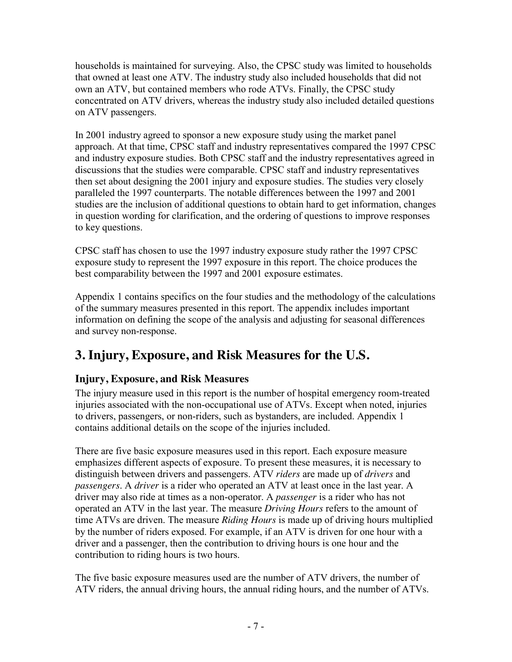households is maintained for surveying. Also, the CPSC study was limited to households that owned at least one ATV. The industry study also included households that did not own an ATV, but contained members who rode ATVs. Finally, the CPSC study concentrated on ATV drivers, whereas the industry study also included detailed questions on ATV passengers.

In 2001 industry agreed to sponsor a new exposure study using the market panel approach. At that time, CPSC staff and industry representatives compared the 1997 CPSC and industry exposure studies. Both CPSC staff and the industry representatives agreed in discussions that the studies were comparable. CPSC staff and industry representatives then set about designing the 2001 injury and exposure studies. The studies very closely paralleled the 1997 counterparts. The notable differences between the 1997 and 2001 studies are the inclusion of additional questions to obtain hard to get information, changes in question wording for clarification, and the ordering of questions to improve responses to key questions.

CPSC staff has chosen to use the 1997 industry exposure study rather the 1997 CPSC exposure study to represent the 1997 exposure in this report. The choice produces the best comparability between the 1997 and 2001 exposure estimates.

Appendix 1 contains specifics on the four studies and the methodology of the calculations of the summary measures presented in this report. The appendix includes important information on defining the scope of the analysis and adjusting for seasonal differences and survey non-response.

# **3. Injury, Exposure, and Risk Measures for the U.S.**

## **Injury, Exposure, and Risk Measures**

The injury measure used in this report is the number of hospital emergency room-treated injuries associated with the non-occupational use of ATVs. Except when noted, injuries to drivers, passengers, or non-riders, such as bystanders, are included. Appendix 1 contains additional details on the scope of the injuries included.

There are five basic exposure measures used in this report. Each exposure measure emphasizes different aspects of exposure. To present these measures, it is necessary to distinguish between drivers and passengers. ATV *riders* are made up of *drivers* and *passengers*. A *driver* is a rider who operated an ATV at least once in the last year. A driver may also ride at times as a non-operator. A *passenger* is a rider who has not operated an ATV in the last year. The measure *Driving Hours* refers to the amount of time ATVs are driven. The measure *Riding Hours* is made up of driving hours multiplied by the number of riders exposed. For example, if an ATV is driven for one hour with a driver and a passenger, then the contribution to driving hours is one hour and the contribution to riding hours is two hours.

The five basic exposure measures used are the number of ATV drivers, the number of ATV riders, the annual driving hours, the annual riding hours, and the number of ATVs.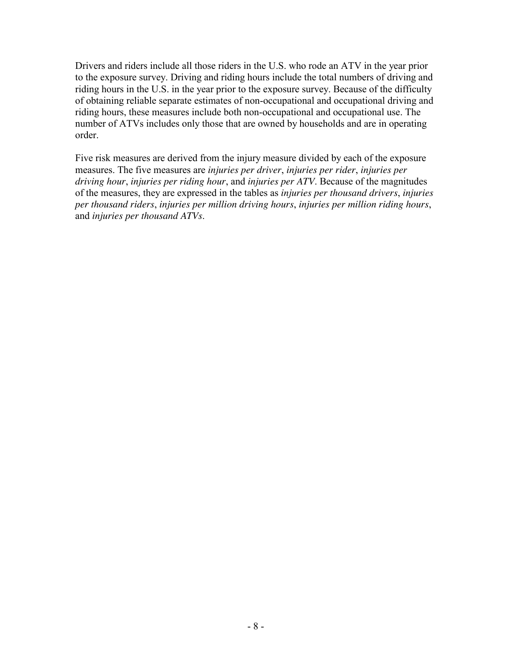Drivers and riders include all those riders in the U.S. who rode an ATV in the year prior to the exposure survey. Driving and riding hours include the total numbers of driving and riding hours in the U.S. in the year prior to the exposure survey. Because of the difficulty of obtaining reliable separate estimates of non-occupational and occupational driving and riding hours, these measures include both non-occupational and occupational use. The number of ATVs includes only those that are owned by households and are in operating order.

Five risk measures are derived from the injury measure divided by each of the exposure measures. The five measures are *injuries per driver*, *injuries per rider*, *injuries per driving hour*, *injuries per riding hour*, and *injuries per ATV*. Because of the magnitudes of the measures, they are expressed in the tables as *injuries per thousand drivers*, *injuries per thousand riders*, *injuries per million driving hours*, *injuries per million riding hours*, and *injuries per thousand ATVs*.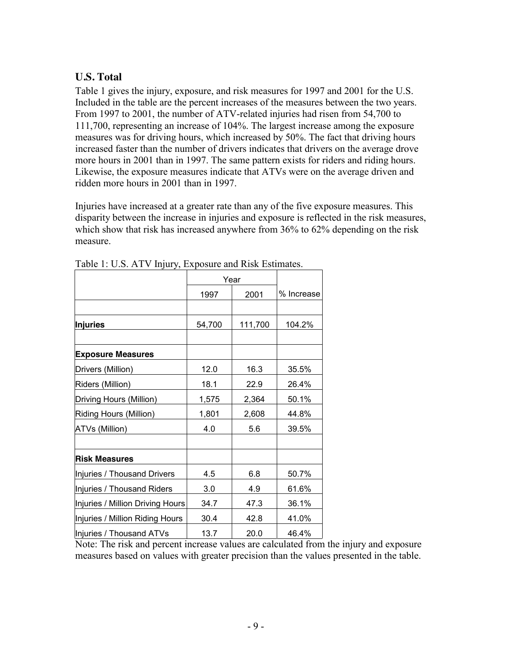### **U.S. Total**

Table 1 gives the injury, exposure, and risk measures for 1997 and 2001 for the U.S. Included in the table are the percent increases of the measures between the two years. From 1997 to 2001, the number of ATV-related injuries had risen from 54,700 to 111,700, representing an increase of 104%. The largest increase among the exposure measures was for driving hours, which increased by 50%. The fact that driving hours increased faster than the number of drivers indicates that drivers on the average drove more hours in 2001 than in 1997. The same pattern exists for riders and riding hours. Likewise, the exposure measures indicate that ATVs were on the average driven and ridden more hours in 2001 than in 1997.

Injuries have increased at a greater rate than any of the five exposure measures. This disparity between the increase in injuries and exposure is reflected in the risk measures, which show that risk has increased anywhere from 36% to 62% depending on the risk measure.

|                                  |        | Year    |            |
|----------------------------------|--------|---------|------------|
|                                  | 1997   | 2001    | % Increase |
|                                  |        |         |            |
| <b>Injuries</b>                  | 54,700 | 111,700 | 104.2%     |
|                                  |        |         |            |
| <b>Exposure Measures</b>         |        |         |            |
| Drivers (Million)                | 12.0   | 16.3    | 35.5%      |
| Riders (Million)                 | 18.1   | 22.9    | 26.4%      |
| Driving Hours (Million)          | 1,575  | 2,364   | 50.1%      |
| Riding Hours (Million)           | 1,801  | 2,608   | 44.8%      |
| <b>ATVs (Million)</b>            | 4.0    | 5.6     | 39.5%      |
|                                  |        |         |            |
| <b>Risk Measures</b>             |        |         |            |
| Injuries / Thousand Drivers      | 4.5    | 6.8     | 50.7%      |
| Injuries / Thousand Riders       | 3.0    | 4.9     | 61.6%      |
| Injuries / Million Driving Hours | 34.7   | 47.3    | 36.1%      |
| Injuries / Million Riding Hours  | 30.4   | 42.8    | 41.0%      |
| Injuries / Thousand ATVs         | 13.7   | 20.0    | 46.4%      |

Table 1: U.S. ATV Injury, Exposure and Risk Estimates.

Note: The risk and percent increase values are calculated from the injury and exposure measures based on values with greater precision than the values presented in the table.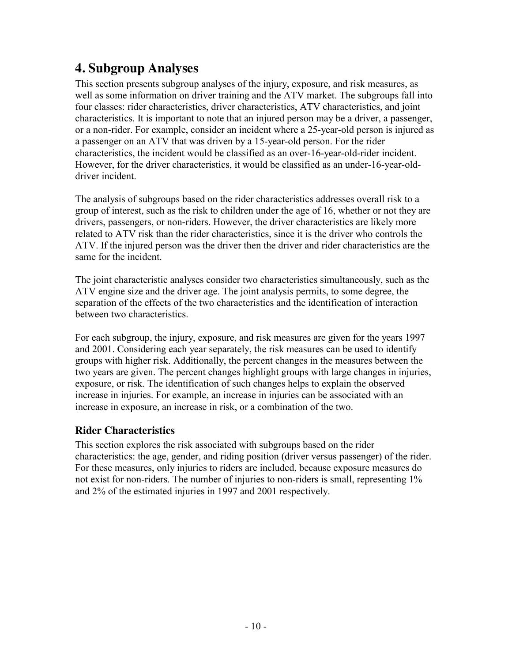## **4. Subgroup Analyses**

This section presents subgroup analyses of the injury, exposure, and risk measures, as well as some information on driver training and the ATV market. The subgroups fall into four classes: rider characteristics, driver characteristics, ATV characteristics, and joint characteristics. It is important to note that an injured person may be a driver, a passenger, or a non-rider. For example, consider an incident where a 25-year-old person is injured as a passenger on an ATV that was driven by a 15-year-old person. For the rider characteristics, the incident would be classified as an over-16-year-old-rider incident. However, for the driver characteristics, it would be classified as an under-16-year-olddriver incident.

The analysis of subgroups based on the rider characteristics addresses overall risk to a group of interest, such as the risk to children under the age of 16, whether or not they are drivers, passengers, or non-riders. However, the driver characteristics are likely more related to ATV risk than the rider characteristics, since it is the driver who controls the ATV. If the injured person was the driver then the driver and rider characteristics are the same for the incident.

The joint characteristic analyses consider two characteristics simultaneously, such as the ATV engine size and the driver age. The joint analysis permits, to some degree, the separation of the effects of the two characteristics and the identification of interaction between two characteristics.

For each subgroup, the injury, exposure, and risk measures are given for the years 1997 and 2001. Considering each year separately, the risk measures can be used to identify groups with higher risk. Additionally, the percent changes in the measures between the two years are given. The percent changes highlight groups with large changes in injuries, exposure, or risk. The identification of such changes helps to explain the observed increase in injuries. For example, an increase in injuries can be associated with an increase in exposure, an increase in risk, or a combination of the two.

### **Rider Characteristics**

This section explores the risk associated with subgroups based on the rider characteristics: the age, gender, and riding position (driver versus passenger) of the rider. For these measures, only injuries to riders are included, because exposure measures do not exist for non-riders. The number of injuries to non-riders is small, representing 1% and 2% of the estimated injuries in 1997 and 2001 respectively.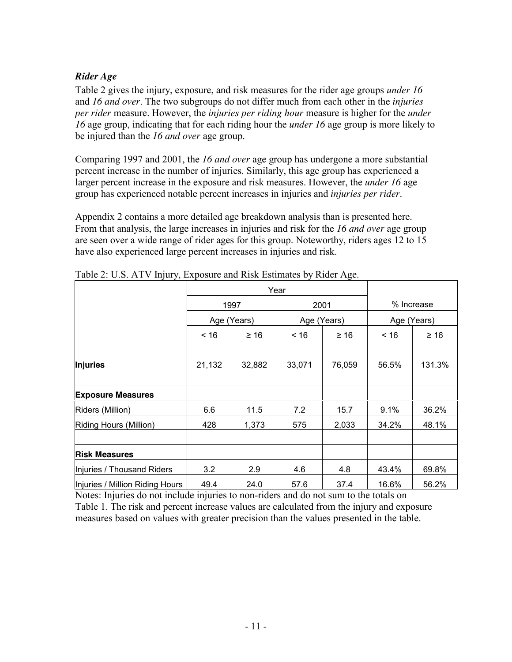#### *Rider Age*

Table 2 gives the injury, exposure, and risk measures for the rider age groups *under 16* and *16 and over*. The two subgroups do not differ much from each other in the *injuries per rider* measure. However, the *injuries per riding hour* measure is higher for the *under 16* age group, indicating that for each riding hour the *under 16* age group is more likely to be injured than the *16 and over* age group.

Comparing 1997 and 2001, the *16 and over* age group has undergone a more substantial percent increase in the number of injuries. Similarly, this age group has experienced a larger percent increase in the exposure and risk measures. However, the *under 16* age group has experienced notable percent increases in injuries and *injuries per rider*.

Appendix 2 contains a more detailed age breakdown analysis than is presented here. From that analysis, the large increases in injuries and risk for the *16 and over* age group are seen over a wide range of rider ages for this group. Noteworthy, riders ages 12 to 15 have also experienced large percent increases in injuries and risk.

|                                 |             | Year      |        |             |       |             |  |
|---------------------------------|-------------|-----------|--------|-------------|-------|-------------|--|
|                                 |             | 1997      |        | 2001        |       | % Increase  |  |
|                                 | Age (Years) |           |        | Age (Years) |       | Age (Years) |  |
|                                 | ~16         | $\geq 16$ | ~16    | $\geq 16$   | ~16   | $\geq 16$   |  |
|                                 |             |           |        |             |       |             |  |
| <b>Injuries</b>                 | 21,132      | 32,882    | 33,071 | 76,059      | 56.5% | 131.3%      |  |
|                                 |             |           |        |             |       |             |  |
| <b>Exposure Measures</b>        |             |           |        |             |       |             |  |
| Riders (Million)                | 6.6         | 11.5      | 7.2    | 15.7        | 9.1%  | 36.2%       |  |
| Riding Hours (Million)          | 428         | 1,373     | 575    | 2,033       | 34.2% | 48.1%       |  |
|                                 |             |           |        |             |       |             |  |
| <b>Risk Measures</b>            |             |           |        |             |       |             |  |
| Injuries / Thousand Riders      | 3.2         | 2.9       | 4.6    | 4.8         | 43.4% | 69.8%       |  |
| Injuries / Million Riding Hours | 49.4        | 24.0      | 57.6   | 37.4        | 16.6% | 56.2%       |  |

Table 2: U.S. ATV Injury, Exposure and Risk Estimates by Rider Age.

Notes: Injuries do not include injuries to non-riders and do not sum to the totals on Table 1. The risk and percent increase values are calculated from the injury and exposure measures based on values with greater precision than the values presented in the table.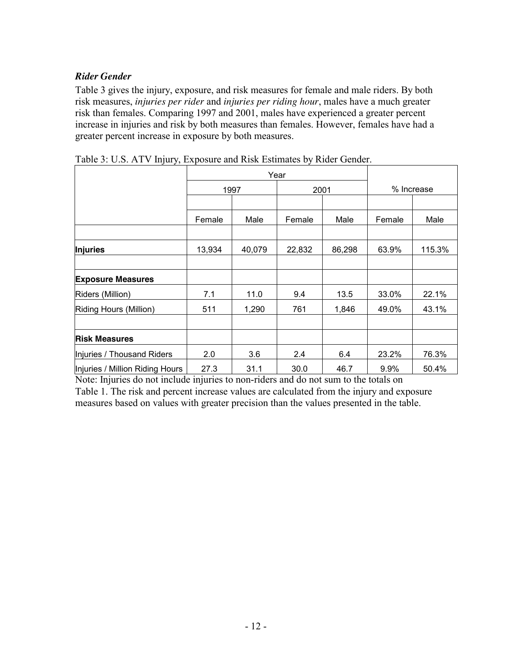#### *Rider Gender*

Table 3 gives the injury, exposure, and risk measures for female and male riders. By both risk measures, *injuries per rider* and *injuries per riding hour*, males have a much greater risk than females. Comparing 1997 and 2001, males have experienced a greater percent increase in injuries and risk by both measures than females. However, females have had a greater percent increase in exposure by both measures.

|                                 |        | Year   |        |        |            |        |
|---------------------------------|--------|--------|--------|--------|------------|--------|
|                                 | 1997   |        | 2001   |        | % Increase |        |
|                                 |        |        |        |        |            |        |
|                                 | Female | Male   | Female | Male   | Female     | Male   |
|                                 |        |        |        |        |            |        |
| <b>Injuries</b>                 | 13,934 | 40,079 | 22,832 | 86,298 | 63.9%      | 115.3% |
|                                 |        |        |        |        |            |        |
| <b>Exposure Measures</b>        |        |        |        |        |            |        |
| Riders (Million)                | 7.1    | 11.0   | 9.4    | 13.5   | 33.0%      | 22.1%  |
| Riding Hours (Million)          | 511    | 1,290  | 761    | 1,846  | 49.0%      | 43.1%  |
|                                 |        |        |        |        |            |        |
| <b>Risk Measures</b>            |        |        |        |        |            |        |
| Injuries / Thousand Riders      | 2.0    | 3.6    | 2.4    | 6.4    | 23.2%      | 76.3%  |
| Injuries / Million Riding Hours | 27.3   | 31.1   | 30.0   | 46.7   | 9.9%       | 50.4%  |

Table 3: U.S. ATV Injury, Exposure and Risk Estimates by Rider Gender.

Note: Injuries do not include injuries to non-riders and do not sum to the totals on Table 1. The risk and percent increase values are calculated from the injury and exposure measures based on values with greater precision than the values presented in the table.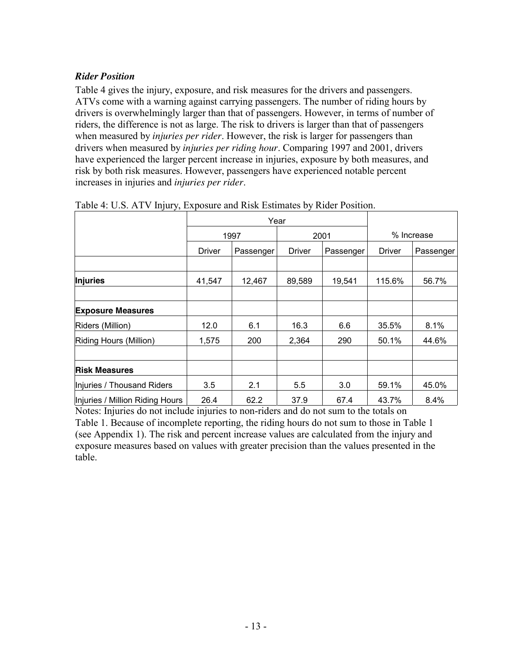#### *Rider Position*

Table 4 gives the injury, exposure, and risk measures for the drivers and passengers. ATVs come with a warning against carrying passengers. The number of riding hours by drivers is overwhelmingly larger than that of passengers. However, in terms of number of riders, the difference is not as large. The risk to drivers is larger than that of passengers when measured by *injuries per rider*. However, the risk is larger for passengers than drivers when measured by *injuries per riding hour*. Comparing 1997 and 2001, drivers have experienced the larger percent increase in injuries, exposure by both measures, and risk by both risk measures. However, passengers have experienced notable percent increases in injuries and *injuries per rider*.

|                                 |        | Year      |               |           |            |           |
|---------------------------------|--------|-----------|---------------|-----------|------------|-----------|
|                                 | 1997   |           | 2001          |           | % Increase |           |
|                                 | Driver | Passenger | <b>Driver</b> | Passenger | Driver     | Passenger |
|                                 |        |           |               |           |            |           |
| <b>Injuries</b>                 | 41,547 | 12,467    | 89,589        | 19,541    | 115.6%     | 56.7%     |
|                                 |        |           |               |           |            |           |
| <b>Exposure Measures</b>        |        |           |               |           |            |           |
| Riders (Million)                | 12.0   | 6.1       | 16.3          | 6.6       | 35.5%      | 8.1%      |
| Riding Hours (Million)          | 1,575  | 200       | 2,364         | 290       | 50.1%      | 44.6%     |
|                                 |        |           |               |           |            |           |
| <b>Risk Measures</b>            |        |           |               |           |            |           |
| Injuries / Thousand Riders      | 3.5    | 2.1       | 5.5           | 3.0       | 59.1%      | 45.0%     |
| Injuries / Million Riding Hours | 26.4   | 62.2      | 37.9          | 67.4      | 43.7%      | 8.4%      |

Table 4: U.S. ATV Injury, Exposure and Risk Estimates by Rider Position.

Notes: Injuries do not include injuries to non-riders and do not sum to the totals on Table 1. Because of incomplete reporting, the riding hours do not sum to those in Table 1 (see Appendix 1). The risk and percent increase values are calculated from the injury and exposure measures based on values with greater precision than the values presented in the table.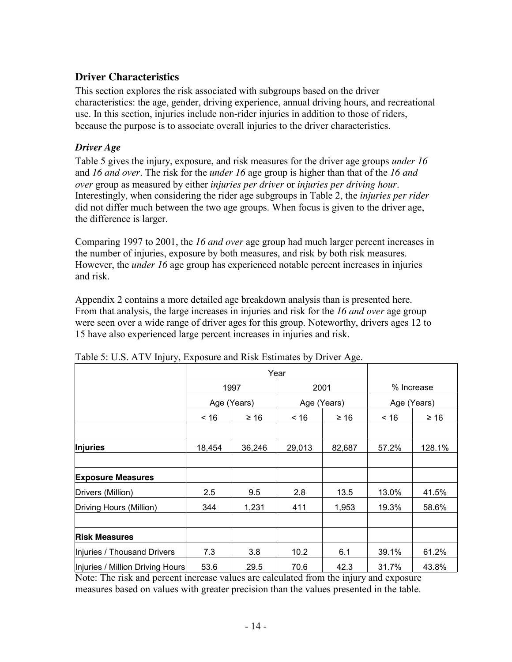#### **Driver Characteristics**

This section explores the risk associated with subgroups based on the driver characteristics: the age, gender, driving experience, annual driving hours, and recreational use. In this section, injuries include non-rider injuries in addition to those of riders, because the purpose is to associate overall injuries to the driver characteristics.

#### *Driver Age*

Table 5 gives the injury, exposure, and risk measures for the driver age groups *under 16* and *16 and over*. The risk for the *under 16* age group is higher than that of the *16 and over* group as measured by either *injuries per driver* or *injuries per driving hour*. Interestingly, when considering the rider age subgroups in Table 2, the *injuries per rider* did not differ much between the two age groups. When focus is given to the driver age, the difference is larger.

Comparing 1997 to 2001, the *16 and over* age group had much larger percent increases in the number of injuries, exposure by both measures, and risk by both risk measures. However, the *under 16* age group has experienced notable percent increases in injuries and risk.

Appendix 2 contains a more detailed age breakdown analysis than is presented here. From that analysis, the large increases in injuries and risk for the *16 and over* age group were seen over a wide range of driver ages for this group. Noteworthy, drivers ages 12 to 15 have also experienced large percent increases in injuries and risk.

|                                  |             | Year      |        |             |            |             |  |
|----------------------------------|-------------|-----------|--------|-------------|------------|-------------|--|
|                                  |             | 1997      | 2001   |             | % Increase |             |  |
|                                  | Age (Years) |           |        | Age (Years) |            | Age (Years) |  |
|                                  | < 16        | $\geq 16$ | < 16   | $\geq 16$   | ~16        | $\geq 16$   |  |
|                                  |             |           |        |             |            |             |  |
| <b>Injuries</b>                  | 18,454      | 36,246    | 29,013 | 82,687      | 57.2%      | 128.1%      |  |
|                                  |             |           |        |             |            |             |  |
| <b>Exposure Measures</b>         |             |           |        |             |            |             |  |
| Drivers (Million)                | 2.5         | 9.5       | 2.8    | 13.5        | 13.0%      | 41.5%       |  |
| Driving Hours (Million)          | 344         | 1,231     | 411    | 1,953       | 19.3%      | 58.6%       |  |
|                                  |             |           |        |             |            |             |  |
| <b>Risk Measures</b>             |             |           |        |             |            |             |  |
| Injuries / Thousand Drivers      | 7.3         | 3.8       | 10.2   | 6.1         | 39.1%      | 61.2%       |  |
| Injuries / Million Driving Hours | 53.6        | 29.5      | 70.6   | 42.3        | 31.7%      | 43.8%       |  |

Table 5: U.S. ATV Injury, Exposure and Risk Estimates by Driver Age.

Note: The risk and percent increase values are calculated from the injury and exposure measures based on values with greater precision than the values presented in the table.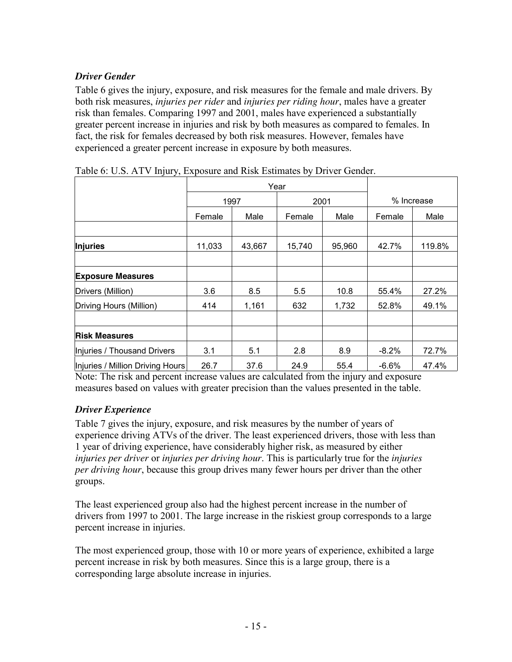### *Driver Gender*

Table 6 gives the injury, exposure, and risk measures for the female and male drivers. By both risk measures, *injuries per rider* and *injuries per riding hour*, males have a greater risk than females. Comparing 1997 and 2001, males have experienced a substantially greater percent increase in injuries and risk by both measures as compared to females. In fact, the risk for females decreased by both risk measures. However, females have experienced a greater percent increase in exposure by both measures.

| ້                                |        |        |        |        |            |        |
|----------------------------------|--------|--------|--------|--------|------------|--------|
|                                  |        |        | Year   |        |            |        |
|                                  | 1997   |        | 2001   |        | % Increase |        |
|                                  | Female | Male   | Female | Male   | Female     | Male   |
|                                  |        |        |        |        |            |        |
| Injuries                         | 11,033 | 43,667 | 15,740 | 95,960 | 42.7%      | 119.8% |
|                                  |        |        |        |        |            |        |
| <b>Exposure Measures</b>         |        |        |        |        |            |        |
| Drivers (Million)                | 3.6    | 8.5    | 5.5    | 10.8   | 55.4%      | 27.2%  |
| Driving Hours (Million)          | 414    | 1,161  | 632    | 1,732  | 52.8%      | 49.1%  |
|                                  |        |        |        |        |            |        |
| <b>Risk Measures</b>             |        |        |        |        |            |        |
| Injuries / Thousand Drivers      | 3.1    | 5.1    | 2.8    | 8.9    | $-8.2\%$   | 72.7%  |
| Injuries / Million Driving Hours | 26.7   | 37.6   | 24.9   | 55.4   | $-6.6\%$   | 47.4%  |

Table 6: U.S. ATV Injury, Exposure and Risk Estimates by Driver Gender.

Note: The risk and percent increase values are calculated from the injury and exposure measures based on values with greater precision than the values presented in the table.

#### *Driver Experience*

Table 7 gives the injury, exposure, and risk measures by the number of years of experience driving ATVs of the driver. The least experienced drivers, those with less than 1 year of driving experience, have considerably higher risk, as measured by either *injuries per driver* or *injuries per driving hour*. This is particularly true for the *injuries per driving hour*, because this group drives many fewer hours per driver than the other groups.

The least experienced group also had the highest percent increase in the number of drivers from 1997 to 2001. The large increase in the riskiest group corresponds to a large percent increase in injuries.

The most experienced group, those with 10 or more years of experience, exhibited a large percent increase in risk by both measures. Since this is a large group, there is a corresponding large absolute increase in injuries.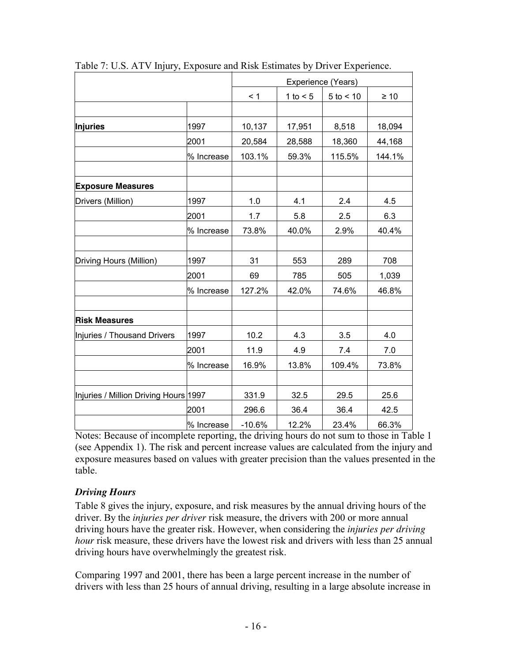|                                       |            |          |            | Experience (Years) |           |
|---------------------------------------|------------|----------|------------|--------------------|-----------|
|                                       |            | < 1      | 1 to $< 5$ | $5$ to $< 10$      | $\geq 10$ |
| <b>Injuries</b>                       | 1997       | 10,137   | 17,951     | 8,518              | 18,094    |
|                                       | 2001       | 20,584   | 28,588     | 18,360             | 44,168    |
|                                       | % Increase | 103.1%   | 59.3%      | 115.5%             | 144.1%    |
| <b>Exposure Measures</b>              |            |          |            |                    |           |
| Drivers (Million)                     | 1997       | 1.0      | 4.1        | 2.4                | 4.5       |
|                                       | 2001       | 1.7      | 5.8        | 2.5                | 6.3       |
|                                       | % Increase | 73.8%    | 40.0%      | 2.9%               | 40.4%     |
| Driving Hours (Million)               | 1997       | 31       | 553        | 289                | 708       |
|                                       | 2001       | 69       | 785        | 505                | 1,039     |
|                                       | % Increase | 127.2%   | 42.0%      | 74.6%              | 46.8%     |
| <b>Risk Measures</b>                  |            |          |            |                    |           |
| Injuries / Thousand Drivers           | 1997       | 10.2     | 4.3        | 3.5                | 4.0       |
|                                       | 2001       | 11.9     | 4.9        | 7.4                | 7.0       |
|                                       | % Increase | 16.9%    | 13.8%      | 109.4%             | 73.8%     |
| Injuries / Million Driving Hours 1997 |            | 331.9    | 32.5       | 29.5               | 25.6      |
|                                       | 2001       | 296.6    | 36.4       | 36.4               | 42.5      |
|                                       | % Increase | $-10.6%$ | 12.2%      | 23.4%              | 66.3%     |

Table 7: U.S. ATV Injury, Exposure and Risk Estimates by Driver Experience.

Notes: Because of incomplete reporting, the driving hours do not sum to those in Table 1 (see Appendix 1). The risk and percent increase values are calculated from the injury and exposure measures based on values with greater precision than the values presented in the table.

#### *Driving Hours*

Table 8 gives the injury, exposure, and risk measures by the annual driving hours of the driver. By the *injuries per driver* risk measure, the drivers with 200 or more annual driving hours have the greater risk. However, when considering the *injuries per driving hour* risk measure, these drivers have the lowest risk and drivers with less than 25 annual driving hours have overwhelmingly the greatest risk.

Comparing 1997 and 2001, there has been a large percent increase in the number of drivers with less than 25 hours of annual driving, resulting in a large absolute increase in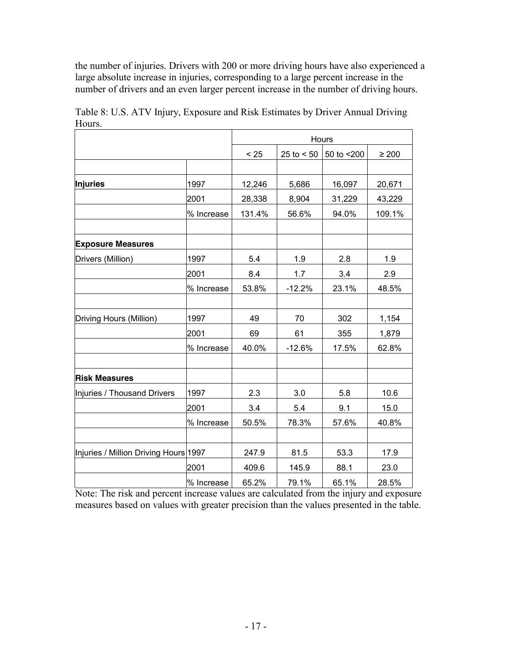the number of injuries. Drivers with 200 or more driving hours have also experienced a large absolute increase in injuries, corresponding to a large percent increase in the number of drivers and an even larger percent increase in the number of driving hours.

|                                       |            |        |                | Hours      |            |
|---------------------------------------|------------|--------|----------------|------------|------------|
|                                       |            | < 25   | $25$ to $< 50$ | 50 to <200 | $\geq 200$ |
|                                       |            |        |                |            |            |
| <b>Injuries</b>                       | 1997       | 12,246 | 5,686          | 16,097     | 20,671     |
|                                       | 2001       | 28,338 | 8,904          | 31,229     | 43,229     |
|                                       | % Increase | 131.4% | 56.6%          | 94.0%      | 109.1%     |
| <b>Exposure Measures</b>              |            |        |                |            |            |
| Drivers (Million)                     | 1997       | 5.4    | 1.9            | 2.8        | 1.9        |
|                                       | 2001       | 8.4    | 1.7            | 3.4        | 2.9        |
|                                       | % Increase | 53.8%  | $-12.2%$       | 23.1%      | 48.5%      |
| Driving Hours (Million)               | 1997       | 49     | 70             | 302        | 1,154      |
|                                       | 2001       | 69     | 61             | 355        | 1,879      |
|                                       | % Increase | 40.0%  | $-12.6%$       | 17.5%      | 62.8%      |
| <b>Risk Measures</b>                  |            |        |                |            |            |
| Injuries / Thousand Drivers           | 1997       | 2.3    | 3.0            | 5.8        | 10.6       |
|                                       | 2001       | 3.4    | 5.4            | 9.1        | 15.0       |
|                                       | % Increase | 50.5%  | 78.3%          | 57.6%      | 40.8%      |
| Injuries / Million Driving Hours 1997 |            | 247.9  | 81.5           | 53.3       | 17.9       |
|                                       | 2001       | 409.6  | 145.9          | 88.1       | 23.0       |
|                                       | % Increase | 65.2%  | 79.1%          | 65.1%      | 28.5%      |

Table 8: U.S. ATV Injury, Exposure and Risk Estimates by Driver Annual Driving Hours.

Note: The risk and percent increase values are calculated from the injury and exposure measures based on values with greater precision than the values presented in the table.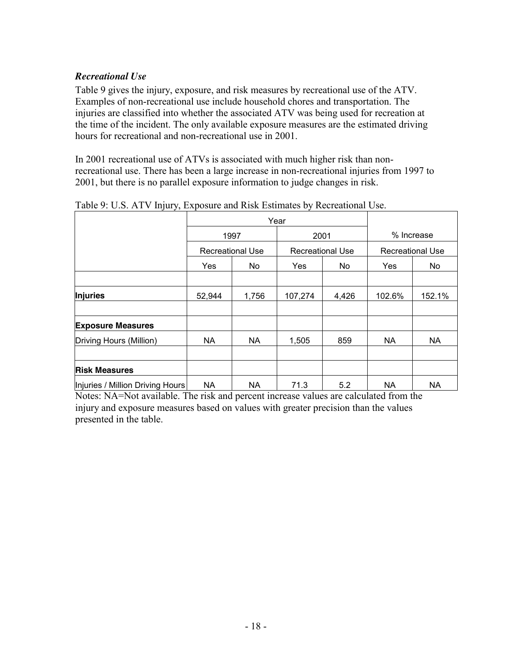#### *Recreational Use*

Table 9 gives the injury, exposure, and risk measures by recreational use of the ATV. Examples of non-recreational use include household chores and transportation. The injuries are classified into whether the associated ATV was being used for recreation at the time of the incident. The only available exposure measures are the estimated driving hours for recreational and non-recreational use in 2001.

In 2001 recreational use of ATVs is associated with much higher risk than nonrecreational use. There has been a large increase in non-recreational injuries from 1997 to 2001, but there is no parallel exposure information to judge changes in risk.

|                                  |                         | Year      |            |                         |            |                         |  |
|----------------------------------|-------------------------|-----------|------------|-------------------------|------------|-------------------------|--|
|                                  |                         | 1997      |            | 2001                    | % Increase |                         |  |
|                                  | <b>Recreational Use</b> |           |            | <b>Recreational Use</b> |            | <b>Recreational Use</b> |  |
|                                  | Yes                     | No.       | <b>Yes</b> | No.                     | <b>Yes</b> | No.                     |  |
|                                  |                         |           |            |                         |            |                         |  |
| <b>Injuries</b>                  | 52,944                  | 1,756     | 107,274    | 4,426                   | 102.6%     | 152.1%                  |  |
| <b>Exposure Measures</b>         |                         |           |            |                         |            |                         |  |
| Driving Hours (Million)          | <b>NA</b>               | NA        | 1,505      | 859                     | <b>NA</b>  | <b>NA</b>               |  |
| <b>Risk Measures</b>             |                         |           |            |                         |            |                         |  |
| Injuries / Million Driving Hours | <b>NA</b>               | <b>NA</b> | 71.3       | 5.2                     | <b>NA</b>  | <b>NA</b>               |  |

Table 9: U.S. ATV Injury, Exposure and Risk Estimates by Recreational Use.

Notes: NA=Not available. The risk and percent increase values are calculated from the injury and exposure measures based on values with greater precision than the values presented in the table.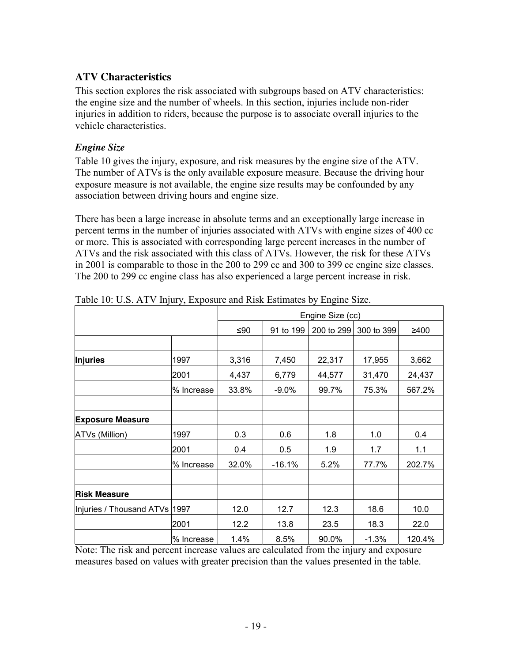### **ATV Characteristics**

This section explores the risk associated with subgroups based on ATV characteristics: the engine size and the number of wheels. In this section, injuries include non-rider injuries in addition to riders, because the purpose is to associate overall injuries to the vehicle characteristics.

#### *Engine Size*

Table 10 gives the injury, exposure, and risk measures by the engine size of the ATV. The number of ATVs is the only available exposure measure. Because the driving hour exposure measure is not available, the engine size results may be confounded by any association between driving hours and engine size.

There has been a large increase in absolute terms and an exceptionally large increase in percent terms in the number of injuries associated with ATVs with engine sizes of 400 cc or more. This is associated with corresponding large percent increases in the number of ATVs and the risk associated with this class of ATVs. However, the risk for these ATVs in 2001 is comparable to those in the 200 to 299 cc and 300 to 399 cc engine size classes. The 200 to 299 cc engine class has also experienced a large percent increase in risk.

|                               |             |       |           | Engine Size (cc) |            |        |
|-------------------------------|-------------|-------|-----------|------------------|------------|--------|
|                               |             | ≤90   | 91 to 199 | 200 to 299       | 300 to 399 | ≥400   |
|                               |             |       |           |                  |            |        |
| <b>Injuries</b>               | 1997        | 3,316 | 7,450     | 22,317           | 17,955     | 3,662  |
|                               | 2001        | 4,437 | 6,779     | 44,577           | 31,470     | 24,437 |
|                               | % Increase  | 33.8% | $-9.0\%$  | 99.7%            | 75.3%      | 567.2% |
|                               |             |       |           |                  |            |        |
| <b>Exposure Measure</b>       |             |       |           |                  |            |        |
| ATVs (Million)                | 1997        | 0.3   | 0.6       | 1.8              | 1.0        | 0.4    |
|                               | 2001        | 0.4   | 0.5       | 1.9              | 1.7        | 1.1    |
|                               | l% Increase | 32.0% | $-16.1%$  | 5.2%             | 77.7%      | 202.7% |
| <b>Risk Measure</b>           |             |       |           |                  |            |        |
| Injuries / Thousand ATVs 1997 |             | 12.0  | 12.7      | 12.3             | 18.6       | 10.0   |
|                               | 2001        | 12.2  | 13.8      | 23.5             | 18.3       | 22.0   |
|                               | % Increase  | 1.4%  | 8.5%      | 90.0%            | $-1.3%$    | 120.4% |

Table 10: U.S. ATV Injury, Exposure and Risk Estimates by Engine Size.

Note: The risk and percent increase values are calculated from the injury and exposure measures based on values with greater precision than the values presented in the table.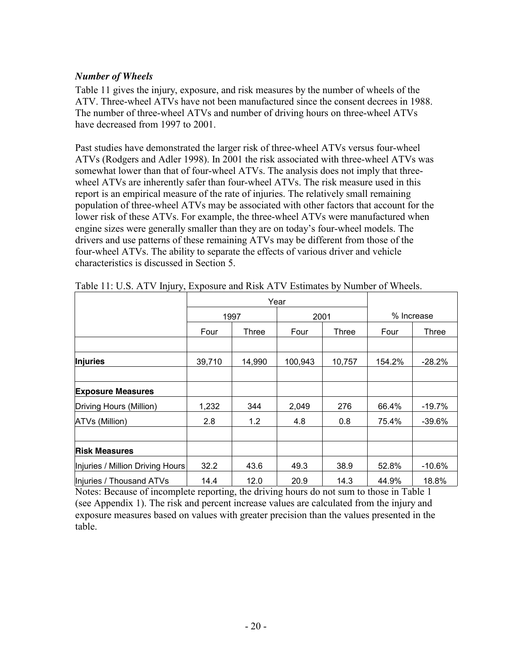#### *Number of Wheels*

Table 11 gives the injury, exposure, and risk measures by the number of wheels of the ATV. Three-wheel ATVs have not been manufactured since the consent decrees in 1988. The number of three-wheel ATVs and number of driving hours on three-wheel ATVs have decreased from 1997 to 2001.

Past studies have demonstrated the larger risk of three-wheel ATVs versus four-wheel ATVs (Rodgers and Adler 1998). In 2001 the risk associated with three-wheel ATVs was somewhat lower than that of four-wheel ATVs. The analysis does not imply that threewheel ATVs are inherently safer than four-wheel ATVs. The risk measure used in this report is an empirical measure of the rate of injuries. The relatively small remaining population of three-wheel ATVs may be associated with other factors that account for the lower risk of these ATVs. For example, the three-wheel ATVs were manufactured when engine sizes were generally smaller than they are on today's four-wheel models. The drivers and use patterns of these remaining ATVs may be different from those of the four-wheel ATVs. The ability to separate the effects of various driver and vehicle characteristics is discussed in Section 5.

|                                  |        | Year   |         |              |            |           |
|----------------------------------|--------|--------|---------|--------------|------------|-----------|
|                                  |        | 1997   | 2001    |              | % Increase |           |
|                                  | Four   | Three  | Four    | <b>Three</b> | Four       | Three     |
| <b>Injuries</b>                  | 39,710 | 14,990 | 100,943 | 10,757       | 154.2%     | $-28.2\%$ |
|                                  |        |        |         |              |            |           |
| <b>Exposure Measures</b>         |        |        |         |              |            |           |
| Driving Hours (Million)          | 1,232  | 344    | 2,049   | 276          | 66.4%      | $-19.7\%$ |
| ATVs (Million)                   | 2.8    | 1.2    | 4.8     | 0.8          | 75.4%      | $-39.6%$  |
| <b>Risk Measures</b>             |        |        |         |              |            |           |
| Injuries / Million Driving Hours | 32.2   | 43.6   | 49.3    | 38.9         | 52.8%      | $-10.6%$  |
| Injuries / Thousand ATVs         | 14.4   | 12.0   | 20.9    | 14.3         | 44.9%      | 18.8%     |

Table 11: U.S. ATV Injury, Exposure and Risk ATV Estimates by Number of Wheels.

Notes: Because of incomplete reporting, the driving hours do not sum to those in Table 1 (see Appendix 1). The risk and percent increase values are calculated from the injury and exposure measures based on values with greater precision than the values presented in the table.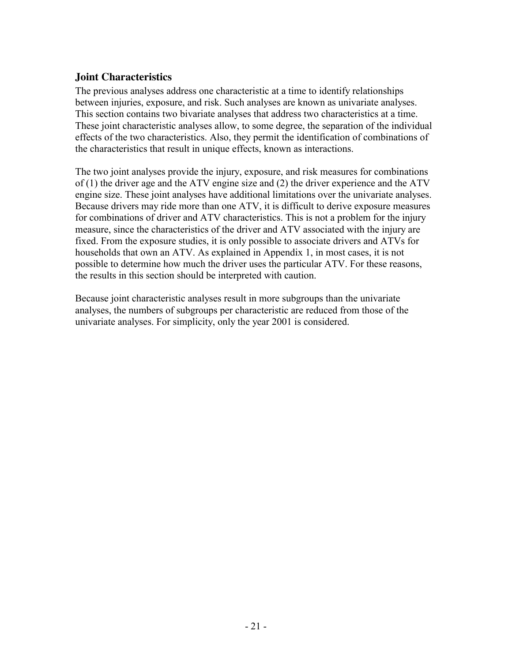#### **Joint Characteristics**

The previous analyses address one characteristic at a time to identify relationships between injuries, exposure, and risk. Such analyses are known as univariate analyses. This section contains two bivariate analyses that address two characteristics at a time. These joint characteristic analyses allow, to some degree, the separation of the individual effects of the two characteristics. Also, they permit the identification of combinations of the characteristics that result in unique effects, known as interactions.

The two joint analyses provide the injury, exposure, and risk measures for combinations of (1) the driver age and the ATV engine size and (2) the driver experience and the ATV engine size. These joint analyses have additional limitations over the univariate analyses. Because drivers may ride more than one ATV, it is difficult to derive exposure measures for combinations of driver and ATV characteristics. This is not a problem for the injury measure, since the characteristics of the driver and ATV associated with the injury are fixed. From the exposure studies, it is only possible to associate drivers and ATVs for households that own an ATV. As explained in Appendix 1, in most cases, it is not possible to determine how much the driver uses the particular ATV. For these reasons, the results in this section should be interpreted with caution.

Because joint characteristic analyses result in more subgroups than the univariate analyses, the numbers of subgroups per characteristic are reduced from those of the univariate analyses. For simplicity, only the year 2001 is considered.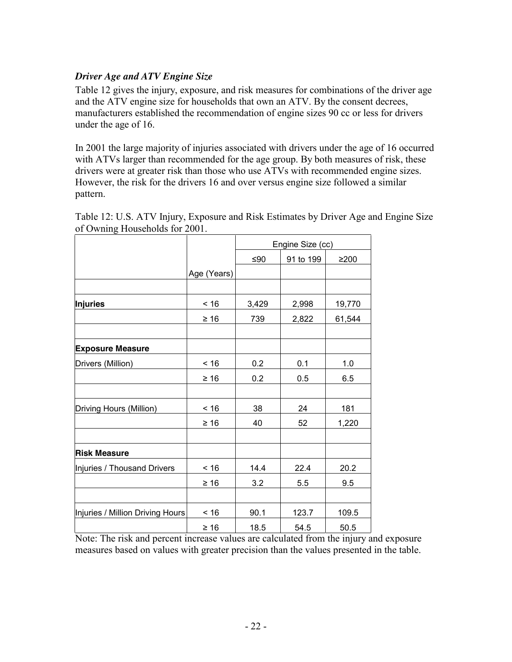#### *Driver Age and ATV Engine Size*

Table 12 gives the injury, exposure, and risk measures for combinations of the driver age and the ATV engine size for households that own an ATV. By the consent decrees, manufacturers established the recommendation of engine sizes 90 cc or less for drivers under the age of 16.

In 2001 the large majority of injuries associated with drivers under the age of 16 occurred with ATVs larger than recommended for the age group. By both measures of risk, these drivers were at greater risk than those who use ATVs with recommended engine sizes. However, the risk for the drivers 16 and over versus engine size followed a similar pattern.

| $\ldots$                         |             |       |                  |            |
|----------------------------------|-------------|-------|------------------|------------|
|                                  |             |       | Engine Size (cc) |            |
|                                  |             | $≤90$ | 91 to 199        | $\geq$ 200 |
|                                  | Age (Years) |       |                  |            |
|                                  |             |       |                  |            |
| <b>Injuries</b>                  | $< 16$      | 3,429 | 2,998            | 19,770     |
|                                  | $\geq 16$   | 739   | 2,822            | 61,544     |
|                                  |             |       |                  |            |
| <b>Exposure Measure</b>          |             |       |                  |            |
| Drivers (Million)                | < 16        | 0.2   | 0.1              | 1.0        |
|                                  | $\geq 16$   | 0.2   | 0.5              | 6.5        |
|                                  |             |       |                  |            |
| Driving Hours (Million)          | $< 16$      | 38    | 24               | 181        |
|                                  | $\geq 16$   | 40    | 52               | 1,220      |
|                                  |             |       |                  |            |
| <b>Risk Measure</b>              |             |       |                  |            |
| Injuries / Thousand Drivers      | ~16         | 14.4  | 22.4             | 20.2       |
|                                  | $\geq 16$   | 3.2   | 5.5              | 9.5        |
|                                  |             |       |                  |            |
| Injuries / Million Driving Hours | ~16         | 90.1  | 123.7            | 109.5      |
|                                  | $\geq 16$   | 18.5  | 54.5             | 50.5       |

Table 12: U.S. ATV Injury, Exposure and Risk Estimates by Driver Age and Engine Size of Owning Households for 2001.

Note: The risk and percent increase values are calculated from the injury and exposure measures based on values with greater precision than the values presented in the table.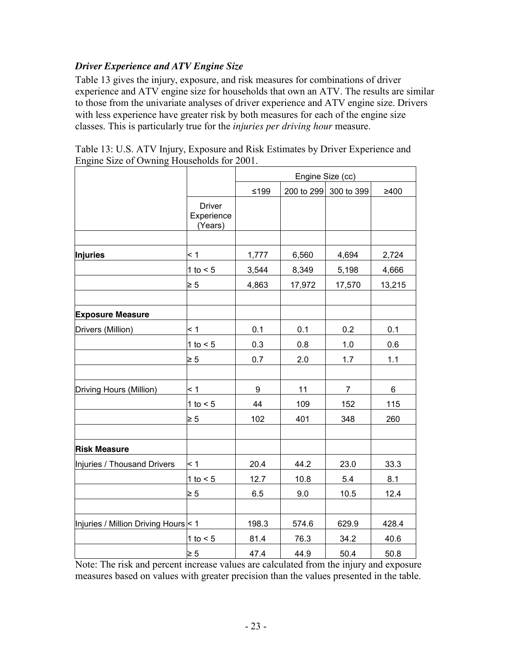#### *Driver Experience and ATV Engine Size*

Table 13 gives the injury, exposure, and risk measures for combinations of driver experience and ATV engine size for households that own an ATV. The results are similar to those from the univariate analyses of driver experience and ATV engine size. Drivers with less experience have greater risk by both measures for each of the engine size classes. This is particularly true for the *injuries per driving hour* measure.

|                                      |                                        |        | Engine Size (cc) |                |        |
|--------------------------------------|----------------------------------------|--------|------------------|----------------|--------|
|                                      |                                        | $≤199$ | 200 to 299       | 300 to 399     | ≥400   |
|                                      | <b>Driver</b><br>Experience<br>(Years) |        |                  |                |        |
| <b>Injuries</b>                      | < 1                                    | 1,777  | 6,560            | 4,694          | 2,724  |
|                                      | 1 to $< 5$                             | 3,544  | 8,349            | 5,198          | 4,666  |
|                                      | $\geq 5$                               | 4,863  | 17,972           | 17,570         | 13,215 |
| <b>Exposure Measure</b>              |                                        |        |                  |                |        |
| Drivers (Million)                    | $\leq 1$                               | 0.1    | 0.1              | 0.2            | 0.1    |
|                                      | 1 to $<$ 5                             | 0.3    | 0.8              | 1.0            | 0.6    |
|                                      | $\geq 5$                               | 0.7    | 2.0              | 1.7            | 1.1    |
| Driving Hours (Million)              | $\leq 1$                               | 9      | 11               | $\overline{7}$ | 6      |
|                                      | 1 to $<$ 5                             | 44     | 109              | 152            | 115    |
|                                      | $\geq 5$                               | 102    | 401              | 348            | 260    |
| <b>Risk Measure</b>                  |                                        |        |                  |                |        |
| Injuries / Thousand Drivers          | $\leq 1$                               | 20.4   | 44.2             | 23.0           | 33.3   |
|                                      | 1 to $< 5$                             | 12.7   | 10.8             | 5.4            | 8.1    |
|                                      | $\geq 5$                               | 6.5    | 9.0              | 10.5           | 12.4   |
| Injuries / Million Driving Hours < 1 |                                        | 198.3  | 574.6            | 629.9          | 428.4  |
|                                      | 1 to $< 5$                             | 81.4   | 76.3             | 34.2           | 40.6   |
|                                      | $\geq 5$                               | 47.4   | 44.9             | 50.4           | 50.8   |

| Table 13: U.S. ATV Injury, Exposure and Risk Estimates by Driver Experience and |
|---------------------------------------------------------------------------------|
| Engine Size of Owning Households for 2001.                                      |

Note: The risk and percent increase values are calculated from the injury and exposure measures based on values with greater precision than the values presented in the table.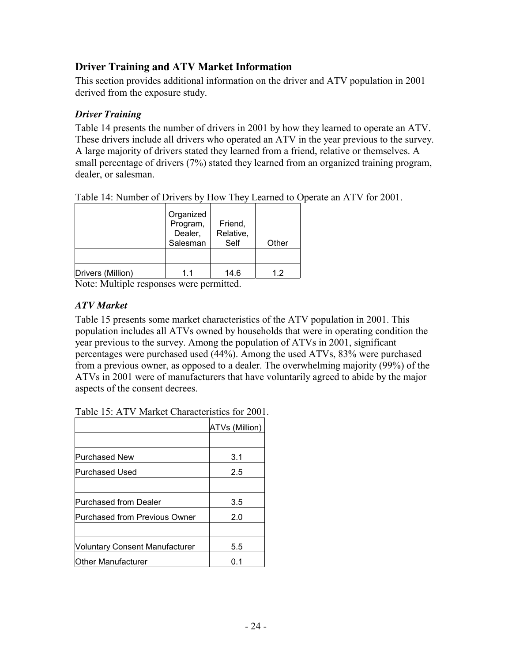### **Driver Training and ATV Market Information**

This section provides additional information on the driver and ATV population in 2001 derived from the exposure study.

#### *Driver Training*

Table 14 presents the number of drivers in 2001 by how they learned to operate an ATV. These drivers include all drivers who operated an ATV in the year previous to the survey. A large majority of drivers stated they learned from a friend, relative or themselves. A small percentage of drivers (7%) stated they learned from an organized training program, dealer, or salesman.

| Table 14: Number of Drivers by How They Learned to Operate an ATV for 2001. |
|-----------------------------------------------------------------------------|
|-----------------------------------------------------------------------------|

|                                                                                                                                                | Organized<br>Program,<br>Dealer,<br>Salesman | Friend,<br>Relative,<br>Self | Other |
|------------------------------------------------------------------------------------------------------------------------------------------------|----------------------------------------------|------------------------------|-------|
| Drivers (Million)                                                                                                                              | 11                                           | 14.6                         | 1.2   |
| $\mathbf{v}$ $\mathbf{v}$ $\mathbf{v}$ $\mathbf{v}$ $\mathbf{v}$ $\mathbf{v}$ $\mathbf{v}$ $\mathbf{v}$ $\mathbf{v}$ $\mathbf{v}$ $\mathbf{v}$ |                                              | .                            |       |

Note: Multiple responses were permitted.

#### *ATV Market*

Table 15 presents some market characteristics of the ATV population in 2001. This population includes all ATVs owned by households that were in operating condition the year previous to the survey. Among the population of ATVs in 2001, significant percentages were purchased used (44%). Among the used ATVs, 83% were purchased from a previous owner, as opposed to a dealer. The overwhelming majority (99%) of the ATVs in 2001 were of manufacturers that have voluntarily agreed to abide by the major aspects of the consent decrees.

| Table 15: ATV Market Characteristics for 2001. |  |
|------------------------------------------------|--|
|                                                |  |

|                                       | ATVs (Million) |
|---------------------------------------|----------------|
|                                       |                |
| Purchased New                         | 3.1            |
| Purchased Used                        | 2.5            |
|                                       |                |
| Purchased from Dealer                 | 3.5            |
| Purchased from Previous Owner         | 2.0            |
|                                       |                |
| <b>Voluntary Consent Manufacturer</b> | 5.5            |
| Other Manufacturer                    | 0.1            |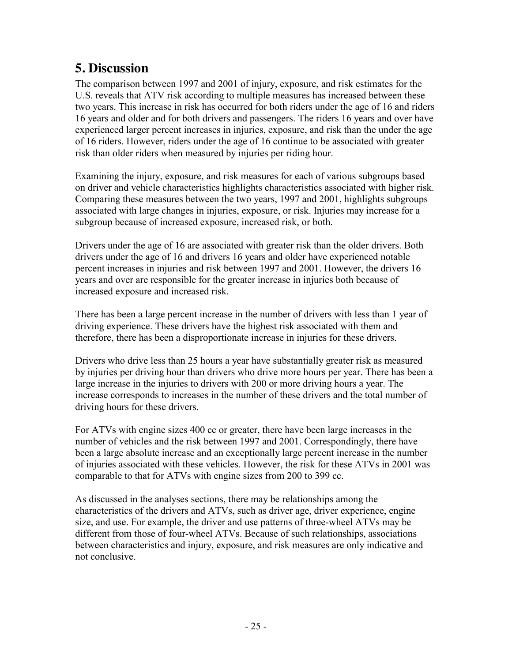## **5. Discussion**

The comparison between 1997 and 2001 of injury, exposure, and risk estimates for the U.S. reveals that ATV risk according to multiple measures has increased between these two years. This increase in risk has occurred for both riders under the age of 16 and riders 16 years and older and for both drivers and passengers. The riders 16 years and over have experienced larger percent increases in injuries, exposure, and risk than the under the age of 16 riders. However, riders under the age of 16 continue to be associated with greater risk than older riders when measured by injuries per riding hour.

Examining the injury, exposure, and risk measures for each of various subgroups based on driver and vehicle characteristics highlights characteristics associated with higher risk. Comparing these measures between the two years, 1997 and 2001, highlights subgroups associated with large changes in injuries, exposure, or risk. Injuries may increase for a subgroup because of increased exposure, increased risk, or both.

Drivers under the age of 16 are associated with greater risk than the older drivers. Both drivers under the age of 16 and drivers 16 years and older have experienced notable percent increases in injuries and risk between 1997 and 2001. However, the drivers 16 years and over are responsible for the greater increase in injuries both because of increased exposure and increased risk.

There has been a large percent increase in the number of drivers with less than 1 year of driving experience. These drivers have the highest risk associated with them and therefore, there has been a disproportionate increase in injuries for these drivers.

Drivers who drive less than 25 hours a year have substantially greater risk as measured by injuries per driving hour than drivers who drive more hours per year. There has been a large increase in the injuries to drivers with 200 or more driving hours a year. The increase corresponds to increases in the number of these drivers and the total number of driving hours for these drivers.

For ATVs with engine sizes 400 cc or greater, there have been large increases in the number of vehicles and the risk between 1997 and 2001. Correspondingly, there have been a large absolute increase and an exceptionally large percent increase in the number of injuries associated with these vehicles. However, the risk for these ATVs in 2001 was comparable to that for ATVs with engine sizes from 200 to 399 cc.

As discussed in the analyses sections, there may be relationships among the characteristics of the drivers and ATVs, such as driver age, driver experience, engine size, and use. For example, the driver and use patterns of three-wheel ATVs may be different from those of four-wheel ATVs. Because of such relationships, associations between characteristics and injury, exposure, and risk measures are only indicative and not conclusive.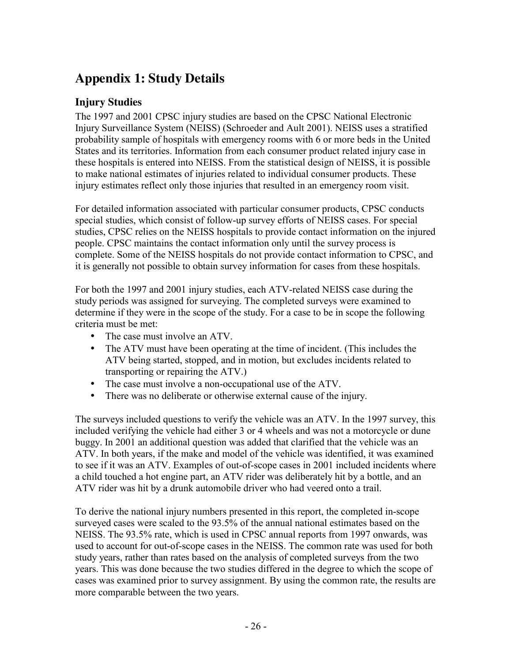# **Appendix 1: Study Details**

### **Injury Studies**

The 1997 and 2001 CPSC injury studies are based on the CPSC National Electronic Injury Surveillance System (NEISS) (Schroeder and Ault 2001). NEISS uses a stratified probability sample of hospitals with emergency rooms with 6 or more beds in the United States and its territories. Information from each consumer product related injury case in these hospitals is entered into NEISS. From the statistical design of NEISS, it is possible to make national estimates of injuries related to individual consumer products. These injury estimates reflect only those injuries that resulted in an emergency room visit.

For detailed information associated with particular consumer products, CPSC conducts special studies, which consist of follow-up survey efforts of NEISS cases. For special studies, CPSC relies on the NEISS hospitals to provide contact information on the injured people. CPSC maintains the contact information only until the survey process is complete. Some of the NEISS hospitals do not provide contact information to CPSC, and it is generally not possible to obtain survey information for cases from these hospitals.

For both the 1997 and 2001 injury studies, each ATV-related NEISS case during the study periods was assigned for surveying. The completed surveys were examined to determine if they were in the scope of the study. For a case to be in scope the following criteria must be met:

- The case must involve an ATV.
- The ATV must have been operating at the time of incident. (This includes the ATV being started, stopped, and in motion, but excludes incidents related to transporting or repairing the ATV.)
- The case must involve a non-occupational use of the ATV.
- There was no deliberate or otherwise external cause of the injury.

The surveys included questions to verify the vehicle was an ATV. In the 1997 survey, this included verifying the vehicle had either 3 or 4 wheels and was not a motorcycle or dune buggy. In 2001 an additional question was added that clarified that the vehicle was an ATV. In both years, if the make and model of the vehicle was identified, it was examined to see if it was an ATV. Examples of out-of-scope cases in 2001 included incidents where a child touched a hot engine part, an ATV rider was deliberately hit by a bottle, and an ATV rider was hit by a drunk automobile driver who had veered onto a trail.

To derive the national injury numbers presented in this report, the completed in-scope surveyed cases were scaled to the 93.5% of the annual national estimates based on the NEISS. The 93.5% rate, which is used in CPSC annual reports from 1997 onwards, was used to account for out-of-scope cases in the NEISS. The common rate was used for both study years, rather than rates based on the analysis of completed surveys from the two years. This was done because the two studies differed in the degree to which the scope of cases was examined prior to survey assignment. By using the common rate, the results are more comparable between the two years.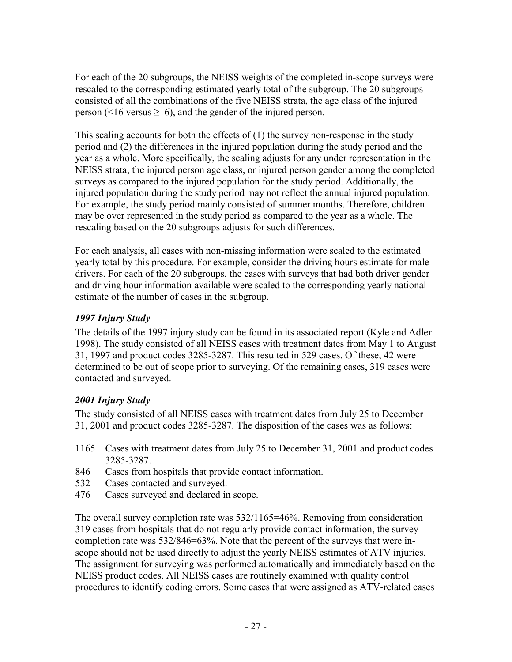For each of the 20 subgroups, the NEISS weights of the completed in-scope surveys were rescaled to the corresponding estimated yearly total of the subgroup. The 20 subgroups consisted of all the combinations of the five NEISS strata, the age class of the injured person (<16 versus  $\geq$ 16), and the gender of the injured person.

This scaling accounts for both the effects of (1) the survey non-response in the study period and (2) the differences in the injured population during the study period and the year as a whole. More specifically, the scaling adjusts for any under representation in the NEISS strata, the injured person age class, or injured person gender among the completed surveys as compared to the injured population for the study period. Additionally, the injured population during the study period may not reflect the annual injured population. For example, the study period mainly consisted of summer months. Therefore, children may be over represented in the study period as compared to the year as a whole. The rescaling based on the 20 subgroups adjusts for such differences.

For each analysis, all cases with non-missing information were scaled to the estimated yearly total by this procedure. For example, consider the driving hours estimate for male drivers. For each of the 20 subgroups, the cases with surveys that had both driver gender and driving hour information available were scaled to the corresponding yearly national estimate of the number of cases in the subgroup.

### *1997 Injury Study*

The details of the 1997 injury study can be found in its associated report (Kyle and Adler 1998). The study consisted of all NEISS cases with treatment dates from May 1 to August 31, 1997 and product codes 3285-3287. This resulted in 529 cases. Of these, 42 were determined to be out of scope prior to surveying. Of the remaining cases, 319 cases were contacted and surveyed.

### *2001 Injury Study*

The study consisted of all NEISS cases with treatment dates from July 25 to December 31, 2001 and product codes 3285-3287. The disposition of the cases was as follows:

- 1165 Cases with treatment dates from July 25 to December 31, 2001 and product codes 3285-3287.
- 846 Cases from hospitals that provide contact information.
- 532 Cases contacted and surveyed.
- 476 Cases surveyed and declared in scope.

The overall survey completion rate was 532/1165=46%. Removing from consideration 319 cases from hospitals that do not regularly provide contact information, the survey completion rate was 532/846=63%. Note that the percent of the surveys that were inscope should not be used directly to adjust the yearly NEISS estimates of ATV injuries. The assignment for surveying was performed automatically and immediately based on the NEISS product codes. All NEISS cases are routinely examined with quality control procedures to identify coding errors. Some cases that were assigned as ATV-related cases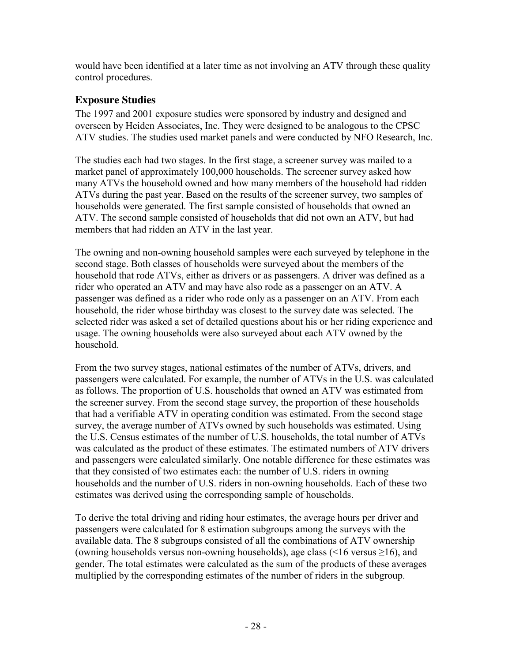would have been identified at a later time as not involving an ATV through these quality control procedures.

## **Exposure Studies**

The 1997 and 2001 exposure studies were sponsored by industry and designed and overseen by Heiden Associates, Inc. They were designed to be analogous to the CPSC ATV studies. The studies used market panels and were conducted by NFO Research, Inc.

The studies each had two stages. In the first stage, a screener survey was mailed to a market panel of approximately 100,000 households. The screener survey asked how many ATVs the household owned and how many members of the household had ridden ATVs during the past year. Based on the results of the screener survey, two samples of households were generated. The first sample consisted of households that owned an ATV. The second sample consisted of households that did not own an ATV, but had members that had ridden an ATV in the last year.

The owning and non-owning household samples were each surveyed by telephone in the second stage. Both classes of households were surveyed about the members of the household that rode ATVs, either as drivers or as passengers. A driver was defined as a rider who operated an ATV and may have also rode as a passenger on an ATV. A passenger was defined as a rider who rode only as a passenger on an ATV. From each household, the rider whose birthday was closest to the survey date was selected. The selected rider was asked a set of detailed questions about his or her riding experience and usage. The owning households were also surveyed about each ATV owned by the household.

From the two survey stages, national estimates of the number of ATVs, drivers, and passengers were calculated. For example, the number of ATVs in the U.S. was calculated as follows. The proportion of U.S. households that owned an ATV was estimated from the screener survey. From the second stage survey, the proportion of these households that had a verifiable ATV in operating condition was estimated. From the second stage survey, the average number of ATVs owned by such households was estimated. Using the U.S. Census estimates of the number of U.S. households, the total number of ATVs was calculated as the product of these estimates. The estimated numbers of ATV drivers and passengers were calculated similarly. One notable difference for these estimates was that they consisted of two estimates each: the number of U.S. riders in owning households and the number of U.S. riders in non-owning households. Each of these two estimates was derived using the corresponding sample of households.

To derive the total driving and riding hour estimates, the average hours per driver and passengers were calculated for 8 estimation subgroups among the surveys with the available data. The 8 subgroups consisted of all the combinations of ATV ownership (owning households versus non-owning households), age class (<16 versus  $\geq$ 16), and gender. The total estimates were calculated as the sum of the products of these averages multiplied by the corresponding estimates of the number of riders in the subgroup.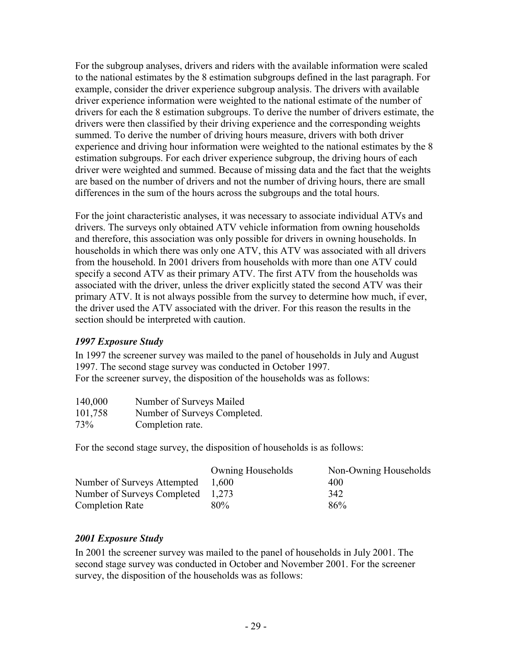For the subgroup analyses, drivers and riders with the available information were scaled to the national estimates by the 8 estimation subgroups defined in the last paragraph. For example, consider the driver experience subgroup analysis. The drivers with available driver experience information were weighted to the national estimate of the number of drivers for each the 8 estimation subgroups. To derive the number of drivers estimate, the drivers were then classified by their driving experience and the corresponding weights summed. To derive the number of driving hours measure, drivers with both driver experience and driving hour information were weighted to the national estimates by the 8 estimation subgroups. For each driver experience subgroup, the driving hours of each driver were weighted and summed. Because of missing data and the fact that the weights are based on the number of drivers and not the number of driving hours, there are small differences in the sum of the hours across the subgroups and the total hours.

For the joint characteristic analyses, it was necessary to associate individual ATVs and drivers. The surveys only obtained ATV vehicle information from owning households and therefore, this association was only possible for drivers in owning households. In households in which there was only one ATV, this ATV was associated with all drivers from the household. In 2001 drivers from households with more than one ATV could specify a second ATV as their primary ATV. The first ATV from the households was associated with the driver, unless the driver explicitly stated the second ATV was their primary ATV. It is not always possible from the survey to determine how much, if ever, the driver used the ATV associated with the driver. For this reason the results in the section should be interpreted with caution.

#### *1997 Exposure Study*

In 1997 the screener survey was mailed to the panel of households in July and August 1997. The second stage survey was conducted in October 1997. For the screener survey, the disposition of the households was as follows:

| 140,000 | Number of Surveys Mailed     |
|---------|------------------------------|
| 101,758 | Number of Surveys Completed. |
| 73%     | Completion rate.             |

For the second stage survey, the disposition of households is as follows:

|                                   | <b>Owning Households</b> | Non-Owning Households |
|-----------------------------------|--------------------------|-----------------------|
| Number of Surveys Attempted       | 1.600                    | 400                   |
| Number of Surveys Completed 1,273 |                          | 342                   |
| Completion Rate                   | 80%                      | 86%                   |

#### *2001 Exposure Study*

In 2001 the screener survey was mailed to the panel of households in July 2001. The second stage survey was conducted in October and November 2001. For the screener survey, the disposition of the households was as follows: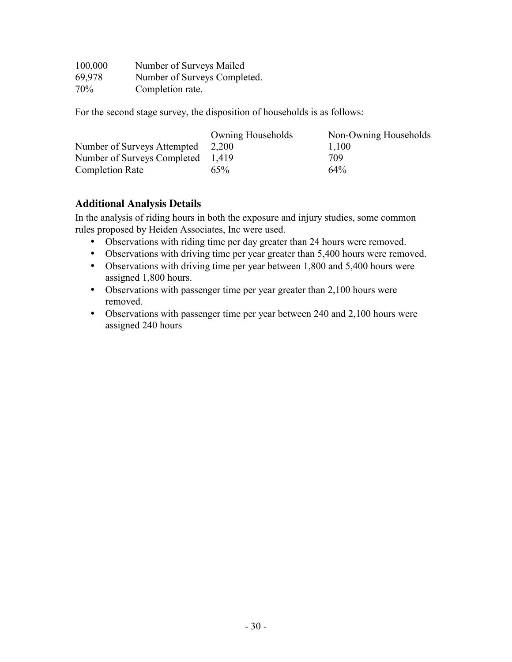| 100,000 | Number of Surveys Mailed     |
|---------|------------------------------|
| 69,978  | Number of Surveys Completed. |
| $70\%$  | Completion rate.             |

For the second stage survey, the disposition of households is as follows:

|                                   | <b>Owning Households</b> | Non-Owning Households |
|-----------------------------------|--------------------------|-----------------------|
| Number of Surveys Attempted 2,200 |                          | 1,100                 |
| Number of Surveys Completed 1,419 |                          | 709                   |
| <b>Completion Rate</b>            | 65%                      | $64\%$                |

#### **Additional Analysis Details**

In the analysis of riding hours in both the exposure and injury studies, some common rules proposed by Heiden Associates, Inc were used.

- Observations with riding time per day greater than 24 hours were removed.
- Observations with driving time per year greater than 5,400 hours were removed.
- Observations with driving time per year between 1,800 and 5,400 hours were assigned 1,800 hours.
- Observations with passenger time per year greater than 2,100 hours were removed.
- Observations with passenger time per year between 240 and 2,100 hours were assigned 240 hours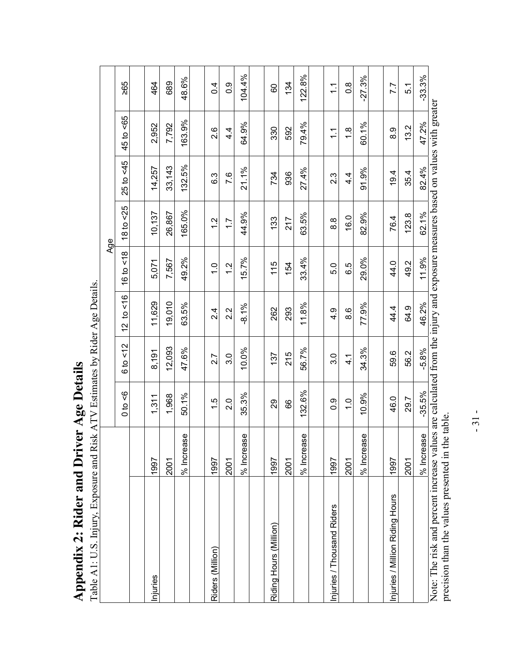| Table A1: U.S. Injury, Exposure and Risk ATV Estimates by Rider Age Details.                                                 |                |                             |                          |               |               |                   |                  |                   |               |
|------------------------------------------------------------------------------------------------------------------------------|----------------|-----------------------------|--------------------------|---------------|---------------|-------------------|------------------|-------------------|---------------|
|                                                                                                                              |                |                             |                          |               |               | Age               |                  |                   |               |
|                                                                                                                              |                | $\sqrt{6}$<br>$\frac{a}{0}$ | $rac{2}{\sqrt{2}}$<br>6t | 12 to $lt$ 16 | 18<br>16 to   | $18$ to $\leq$ 25 | $25$ to <45      | $45$ to $\leq 65$ | 265           |
|                                                                                                                              |                |                             |                          |               |               |                   |                  |                   |               |
| hjuries                                                                                                                      | 1997           | 1,311                       | 8,191                    | 11,629        | 5,071         | 10,137            | 14,257           | 2,952             | 464           |
|                                                                                                                              | 2001           | 1,968                       | 12,093                   | 19,010        | 7,567         | 26,867            | 33,143           | 7,792             | 689           |
|                                                                                                                              | 9S<br>% Increa | 50.1%                       | 47.6%                    | 63.5%         | 49.2%         | 165.0%            | 132.5%           | 163.9%            | 48.6%         |
|                                                                                                                              |                |                             |                          |               |               |                   |                  |                   |               |
| Riders (Million)                                                                                                             | 1997           | 1.5                         | 2.7                      | 2.4           | $\frac{0}{1}$ | $\frac{2}{1}$     | 6.3              | 2.6               | 0.4           |
|                                                                                                                              | 2001           | $\frac{0}{2}$               | 3.0                      | 2.2           | $\frac{2}{1}$ | $\overline{1.7}$  | 7.6              | $4\overline{4}$   | 0.0           |
|                                                                                                                              | % Increase     | 35.3%                       | 10.0%                    | $-8.1%$       | 5.7%          | 44.9%             | 21.1%            | 64.9%             | 104.4%        |
|                                                                                                                              |                |                             |                          |               |               |                   |                  |                   |               |
| Riding Hours (Million)                                                                                                       | 1997           | 82                          | 137                      | 262           | 115           | 133               | 734              | 330               | 60            |
|                                                                                                                              | 2001           | 66                          | 215                      | 293           | 154           | 217               | 936              | 592               | 134           |
|                                                                                                                              | 9S<br>% Increa | 132.6%                      | 56.7%                    | 11.8%         | 33.4%         | 63.5%             | 27.4%            | 79.4%             | 122.8%        |
|                                                                                                                              |                |                             |                          |               |               |                   |                  |                   |               |
| Injuries / Thousand Riders                                                                                                   | 1997           | $\frac{0}{2}$               | 3.0                      | 4.9           | 5.0           | 8.8               | $2.\overline{3}$ | $\frac{1}{1}$     | $\frac{1}{1}$ |
|                                                                                                                              | 2001           | $\frac{0}{1}$               | $\frac{1}{4}$            | 8.6           | 6.5           | 16.0              | $4\overline{4}$  | $\frac{8}{1}$     | $\frac{8}{2}$ |
|                                                                                                                              | 9S<br>% Increa | 10.9%                       | 34.3%                    | 77.9%         | 29.0%         | 82.9%             | 91.9%            | 60.1%             | $-27.3%$      |
|                                                                                                                              |                |                             |                          |               |               |                   |                  |                   |               |
| Injuries / Million Riding Hours                                                                                              | 1997           | 46.0                        | 59.6                     | 44.4          | 44.0          | 76.4              | 19.4             | 0.8               | 7.7           |
|                                                                                                                              | 2001           | 29.7                        | 56.2                     | 64.9          | 49.2          | 123.8             | 35.4             | 13.2              | 5.1           |
|                                                                                                                              | % Increase     | $-35.5%$                    | $-5.8%$                  | 46.2%         | 11.9%         | 62.1%             | 82.4%            | 47.2%             | $-33.3%$      |
| Note: The risk and percent increase values are calculated from the injury and exposure measures based on values with greater |                |                             |                          |               |               |                   |                  |                   |               |

Table A1: U.S. Injury, Exposure and Risk ATV Estimates by Rider Age Details. Appendix 2: Rider and Driver Age Details **Appendix 2: Rider and Driver Age Details** 

 $-31 -31$  -

precision than the values presented in the table.

precision than the values presented in the table.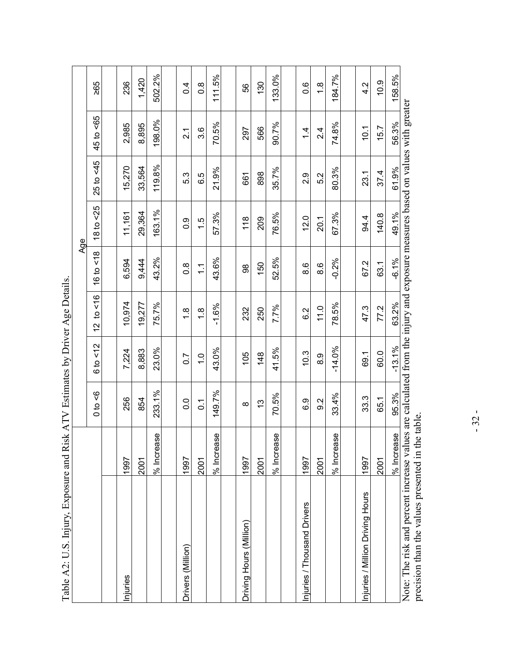| Table A2: U.S. Injury, Exposure and Risk ATV Estimates by Driver Age Details                                                                                                      |                  |                    |                  |                          |                 |                          |                              |                     |               |
|-----------------------------------------------------------------------------------------------------------------------------------------------------------------------------------|------------------|--------------------|------------------|--------------------------|-----------------|--------------------------|------------------------------|---------------------|---------------|
|                                                                                                                                                                                   |                  |                    |                  |                          | Age             |                          |                              |                     |               |
|                                                                                                                                                                                   |                  | 9<br>$\frac{1}{2}$ | 5/2<br>6t        | 16<br>$\mathbf{a}$<br>12 | 5/6<br>16 to    | 5 <sup>25</sup><br>18 to | $5 - 45$<br>25 <sub>to</sub> | 59<br>45 to         | 295           |
|                                                                                                                                                                                   |                  |                    |                  |                          |                 |                          |                              |                     |               |
| Injuries                                                                                                                                                                          | 1997             | 256                | 7,224            | 10.974                   | 6,594           | 11,161                   | 15.270                       | 2,985               | 236           |
|                                                                                                                                                                                   | 2001             | 854                | 8,883            | 19.277                   | 9,444           | 29,364                   | 33,564                       | 8,895               | 1,420         |
|                                                                                                                                                                                   | % Increase       | 233.1%             | 23.0%            | 75.7%                    | 43.2%           | 163.1%                   | 119.8%                       | 198.0%              | 502.2%        |
|                                                                                                                                                                                   |                  |                    |                  |                          |                 |                          |                              |                     |               |
| Drivers (Million)                                                                                                                                                                 | 1997             | $\overline{0}$     | $\overline{0}$ . | œ<br>ᡪ                   | $\frac{8}{2}$   | 0.9                      | 5.3                          | $\overline{2}$      | 0.4           |
|                                                                                                                                                                                   | 2001             | $\overline{0}$     | $\frac{0}{1}$    | $\frac{8}{1}$            | $\tilde{\cdot}$ | $\frac{1}{5}$            | 6.5                          | 3.6                 | $\frac{8}{1}$ |
|                                                                                                                                                                                   | 9S<br>$%$ Increa | 49.7%<br>ᡪ         | 43.0%            | $-1.6%$                  | 43.6%           | 57.3%                    | 21.9%                        | 70.5%               | 11.5%<br>᠇    |
|                                                                                                                                                                                   |                  |                    |                  |                          |                 |                          |                              |                     |               |
| Driving Hours (Million)                                                                                                                                                           | 1997             | ∞                  | 105              | 232                      | 8               | 118                      | 661                          | 297                 | 89            |
|                                                                                                                                                                                   | 2001             | <u>ლ</u>           | $\frac{48}{5}$   | 250                      | 150             | 209                      | 898                          | 566                 | 130           |
|                                                                                                                                                                                   | 9S<br>% Increa   | 70.5%              | 41.5%            | 7.7%                     | 52.5%           | 76.5%                    | 35.7%                        | 90.7%               | 133.0%        |
|                                                                                                                                                                                   |                  |                    |                  |                          |                 |                          |                              |                     |               |
| Injuries / Thousand Drivers                                                                                                                                                       | 1997             | 6.9                | 10.3             | 6.2                      | 8.6             | 12.0                     | $\frac{8}{2}$                | 4<br>$\overline{ }$ | 0.6           |
|                                                                                                                                                                                   | 2001             | 9.2                | 0.8              | 11.0                     | 8.6             | 20.1                     | 5.2                          | 4<br>Νi             | $\frac{8}{1}$ |
|                                                                                                                                                                                   | 9S<br>% Increa   | 33.4%              | $-14.0%$         | 78.5%                    | $-0.2%$         | 67.3%                    | 80.3%                        | 74.8%               | 184.7%        |
|                                                                                                                                                                                   |                  |                    |                  |                          |                 |                          |                              |                     |               |
| Injuries / Million Driving Hours                                                                                                                                                  | 1997             | 33.3               | 69.1             | 47.3                     | 67.2            | 94.4                     | 23.1                         | 10.1                | 4.2           |
|                                                                                                                                                                                   | 2001             | 65.1               | 60.0             | 77.2                     | 63.1            | 140.8                    | 37.4                         | 15.7                | 10.9          |
|                                                                                                                                                                                   | % Increase       | 95.3%              | $-13.1%$         | 63.2%                    | $-6.1%$         | 49.1%                    | 61.9%                        | 56.3%               | 158.5%        |
| Note: The risk and percent increase values are calculated from the injury and exposure measures based on values with greater<br>precision than the values presented in the table. |                  |                    |                  |                          |                 |                          |                              |                     |               |

 $-32-$ - 32 -